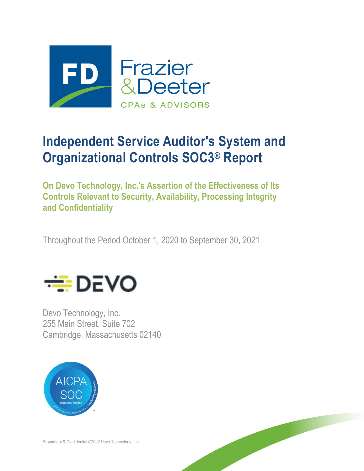

# **Independent Service Auditor's System and Organizational Controls SOC3® Report**

**On Devo Technology, Inc.'s Assertion of the Effectiveness of Its Controls Relevant to Security, Availability, Processing Integrity and Confidentiality** 

Throughout the Period October 1, 2020 to September 30, 2021



Devo Technology, Inc. 255 Main Street, Suite 702 Cambridge, Massachusetts 02140



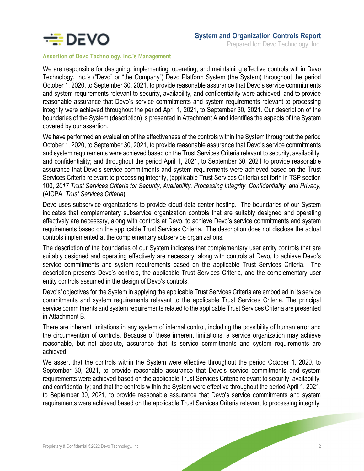

**Assertion of Devo Technology, Inc.'s Management** 

We are responsible for designing, implementing, operating, and maintaining effective controls within Devo Technology, Inc.'s ("Devo" or "the Company") Devo Platform System (the System) throughout the period October 1, 2020, to September 30, 2021, to provide reasonable assurance that Devo's service commitments and system requirements relevant to security, availability, and confidentiality were achieved, and to provide reasonable assurance that Devo's service commitments and system requirements relevant to processing integrity were achieved throughout the period April 1, 2021, to September 30, 2021. Our description of the boundaries of the System (description) is presented in Attachment A and identifies the aspects of the System covered by our assertion.

We have performed an evaluation of the effectiveness of the controls within the System throughout the period October 1, 2020, to September 30, 2021, to provide reasonable assurance that Devo's service commitments and system requirements were achieved based on the Trust Services Criteria relevant to security, availability, and confidentiality; and throughout the period April 1, 2021, to September 30, 2021 to provide reasonable assurance that Devo's service commitments and system requirements were achieved based on the Trust Services Criteria relevant to processing integrity, (applicable Trust Services Criteria) set forth in TSP section 100, *2017 Trust Services Criteria for Security, Availability, Processing Integrity, Confidentiality, and Privacy,* (AICPA, *Trust Services Criteria*).

Devo uses subservice organizations to provide cloud data center hosting. The boundaries of our System indicates that complementary subservice organization controls that are suitably designed and operating effectively are necessary, along with controls at Devo, to achieve Devo's service commitments and system requirements based on the applicable Trust Services Criteria. The description does not disclose the actual controls implemented at the complementary subservice organizations.

The description of the boundaries of our System indicates that complementary user entity controls that are suitably designed and operating effectively are necessary, along with controls at Devo, to achieve Devo's service commitments and system requirements based on the applicable Trust Services Criteria. The description presents Devo's controls, the applicable Trust Services Criteria, and the complementary user entity controls assumed in the design of Devo's controls.

Devo's' objectives for the System in applying the applicable Trust Services Criteria are embodied in its service commitments and system requirements relevant to the applicable Trust Services Criteria. The principal service commitments and system requirements related to the applicable Trust Services Criteria are presented in Attachment B.

There are inherent limitations in any system of internal control, including the possibility of human error and the circumvention of controls. Because of these inherent limitations, a service organization may achieve reasonable, but not absolute, assurance that its service commitments and system requirements are achieved.

We assert that the controls within the System were effective throughout the period October 1, 2020, to September 30, 2021, to provide reasonable assurance that Devo's service commitments and system requirements were achieved based on the applicable Trust Services Criteria relevant to security, availability, and confidentiality; and that the controls within the System were effective throughout the period April 1, 2021, to September 30, 2021, to provide reasonable assurance that Devo's service commitments and system requirements were achieved based on the applicable Trust Services Criteria relevant to processing integrity.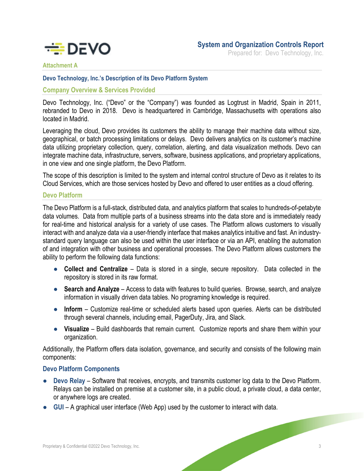

Prepared for: Devo Technology, Inc.

### **Attachment A**

### **Devo Technology, Inc.'s Description of its Devo Platform System**

### **Company Overview & Services Provided**

Devo Technology, Inc. ("Devo" or the "Company") was founded as Logtrust in Madrid, Spain in 2011, rebranded to Devo in 2018. Devo is headquartered in Cambridge, Massachusetts with operations also located in Madrid.

Leveraging the cloud, Devo provides its customers the ability to manage their machine data without size, geographical, or batch processing limitations or delays. Devo delivers analytics on its customer's machine data utilizing proprietary collection, query, correlation, alerting, and data visualization methods. Devo can integrate machine data, infrastructure, servers, software, business applications, and proprietary applications, in one view and one single platform, the Devo Platform.

The scope of this description is limited to the system and internal control structure of Devo as it relates to its Cloud Services, which are those services hosted by Devo and offered to user entities as a cloud offering.

### **Devo Platform**

The Devo Platform is a full-stack, distributed data, and analytics platform that scales to hundreds-of-petabyte data volumes. Data from multiple parts of a business streams into the data store and is immediately ready for real-time and historical analysis for a variety of use cases. The Platform allows customers to visually interact with and analyze data via a user-friendly interface that makes analytics intuitive and fast. An industrystandard query language can also be used within the user interface or via an API, enabling the automation of and integration with other business and operational processes. The Devo Platform allows customers the ability to perform the following data functions:

- **Collect and Centralize** Data is stored in a single, secure repository. Data collected in the repository is stored in its raw format.
- **Search and Analyze** Access to data with features to build queries. Browse, search, and analyze information in visually driven data tables. No programing knowledge is required.
- **Inform** Customize real-time or scheduled alerts based upon queries. Alerts can be distributed through several channels, including email, PagerDuty, Jira, and Slack.
- **Visualize** Build dashboards that remain current. Customize reports and share them within your organization.

Additionally, the Platform offers data isolation, governance, and security and consists of the following main components:

### **Devo Platform Components**

- **Devo Relay Software that receives, encrypts, and transmits customer log data to the Devo Platform.** Relays can be installed on premise at a customer site, in a public cloud, a private cloud, a data center, or anywhere logs are created.
- **GUI**  A graphical user interface (Web App) used by the customer to interact with data.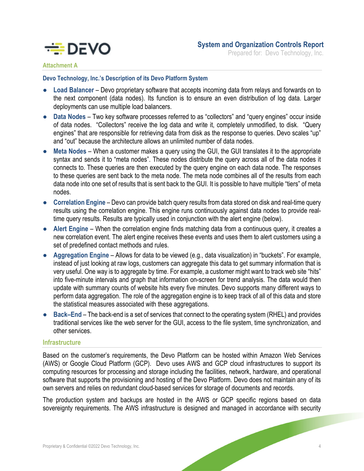

### **Attachment A**

### **Devo Technology, Inc.'s Description of its Devo Platform System**

- **Load Balancer** Devo proprietary software that accepts incoming data from relays and forwards on to the next component (data nodes). Its function is to ensure an even distribution of log data. Larger deployments can use multiple load balancers.
- **Data Nodes**  Two key software processes referred to as "collectors" and "query engines" occur inside of data nodes. "Collectors" receive the log data and write it, completely unmodified, to disk. "Query engines" that are responsible for retrieving data from disk as the response to queries. Devo scales "up" and "out" because the architecture allows an unlimited number of data nodes.
- **Meta Nodes When a customer makes a query using the GUI, the GUI translates it to the appropriate** syntax and sends it to "meta nodes". These nodes distribute the query across all of the data nodes it connects to. These queries are then executed by the query engine on each data node. The responses to these queries are sent back to the meta node. The meta node combines all of the results from each data node into one set of results that is sent back to the GUI. It is possible to have multiple "tiers" of meta nodes.
- **Correlation Engine** Devo can provide batch query results from data stored on disk and real-time query results using the correlation engine. This engine runs continuously against data nodes to provide realtime query results. Results are typically used in conjunction with the alert engine (below).
- **Alert Engine**  When the correlation engine finds matching data from a continuous query, it creates a new correlation event. The alert engine receives these events and uses them to alert customers using a set of predefined contact methods and rules.
- **Aggregation Engine**  Allows for data to be viewed (e.g., data visualization) in "buckets". For example, instead of just looking at raw logs, customers can aggregate this data to get summary information that is very useful. One way is to aggregate by time. For example, a customer might want to track web site "hits" into five-minute intervals and graph that information on-screen for trend analysis. The data would then update with summary counts of website hits every five minutes. Devo supports many different ways to perform data aggregation. The role of the aggregation engine is to keep track of all of this data and store the statistical measures associated with these aggregations.
- **Back–End** The back-end is a set of services that connect to the operating system (RHEL) and provides traditional services like the web server for the GUI, access to the file system, time synchronization, and other services.

### **Infrastructure**

Based on the customer's requirements, the Devo Platform can be hosted within Amazon Web Services (AWS) or Google Cloud Platform (GCP). Devo uses AWS and GCP cloud infrastructures to support its computing resources for processing and storage including the facilities, network, hardware, and operational software that supports the provisioning and hosting of the Devo Platform. Devo does not maintain any of its own servers and relies on redundant cloud-based services for storage of documents and records.

The production system and backups are hosted in the AWS or GCP specific regions based on data sovereignty requirements. The AWS infrastructure is designed and managed in accordance with security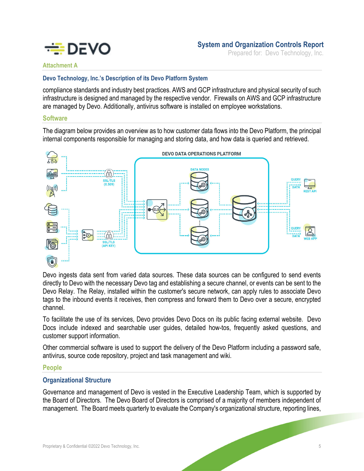

Prepared for: Devo Technology, Inc.

### **Attachment A**

### **Devo Technology, Inc.'s Description of its Devo Platform System**

compliance standards and industry best practices. AWS and GCP infrastructure and physical security of such infrastructure is designed and managed by the respective vendor. Firewalls on AWS and GCP infrastructure are managed by Devo. Additionally, antivirus software is installed on employee workstations.

### **Software**

The diagram below provides an overview as to how customer data flows into the Devo Platform, the principal internal components responsible for managing and storing data, and how data is queried and retrieved.



Devo ingests data sent from varied data sources. These data sources can be configured to send events directly to Devo with the necessary Devo tag and establishing a secure channel, or events can be sent to the Devo Relay. The Relay, installed within the customer's secure network, can apply rules to associate Devo tags to the inbound events it receives, then compress and forward them to Devo over a secure, encrypted channel.

To facilitate the use of its services, Devo provides Devo Docs on its public facing external website. Devo Docs include indexed and searchable user guides, detailed how-tos, frequently asked questions, and customer support information.

Other commercial software is used to support the delivery of the Devo Platform including a password safe, antivirus, source code repository, project and task management and wiki.

### **People**

### **Organizational Structure**

Governance and management of Devo is vested in the Executive Leadership Team, which is supported by the Board of Directors. The Devo Board of Directors is comprised of a majority of members independent of management. The Board meets quarterly to evaluate the Company's organizational structure, reporting lines,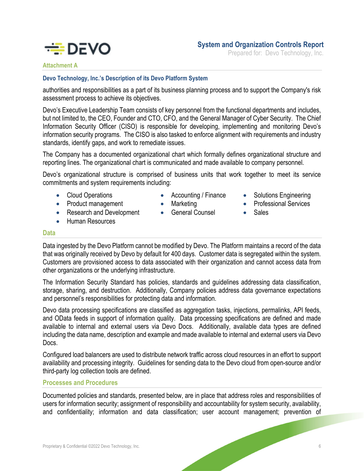

## **System and Organization Controls Report**

Prepared for: Devo Technology, Inc.

# **Attachment A**

### **Devo Technology, Inc.'s Description of its Devo Platform System**

authorities and responsibilities as a part of its business planning process and to support the Company's risk assessment process to achieve its objectives.

Devo's Executive Leadership Team consists of key personnel from the functional departments and includes, but not limited to, the CEO, Founder and CTO, CFO, and the General Manager of Cyber Security. The Chief Information Security Officer (CISO) is responsible for developing, implementing and monitoring Devo's information security programs. The CISO is also tasked to enforce alignment with requirements and industry standards, identify gaps, and work to remediate issues.

The Company has a documented organizational chart which formally defines organizational structure and reporting lines. The organizational chart is communicated and made available to company personnel.

Devo's organizational structure is comprised of business units that work together to meet its service commitments and system requirements including:

• Cloud Operations

**•** Human Resources

• Product management • Research and Development

- Accounting / Finance
- Marketing
- **•** General Counsel
- Solutions Engineering
- **•** Professional Services
- Sales

### **Data**

Data ingested by the Devo Platform cannot be modified by Devo. The Platform maintains a record of the data that was originally received by Devo by default for 400 days. Customer data is segregated within the system. Customers are provisioned access to data associated with their organization and cannot access data from other organizations or the underlying infrastructure.

The Information Security Standard has policies, standards and guidelines addressing data classification, storage, sharing, and destruction. Additionally, Company policies address data governance expectations and personnel's responsibilities for protecting data and information.

Devo data processing specifications are classified as aggregation tasks, injections, permalinks, API feeds, and OData feeds in support of information quality. Data processing specifications are defined and made available to internal and external users via Devo Docs. Additionally, available data types are defined including the data name, description and example and made available to internal and external users via Devo Docs.

Configured load balancers are used to distribute network traffic across cloud resources in an effort to support availability and processing integrity. Guidelines for sending data to the Devo cloud from open-source and/or third-party log collection tools are defined.

### **Processes and Procedures**

Documented policies and standards, presented below, are in place that address roles and responsibilities of users for information security; assignment of responsibility and accountability for system security, availability, and confidentiality; information and data classification; user account management; prevention of

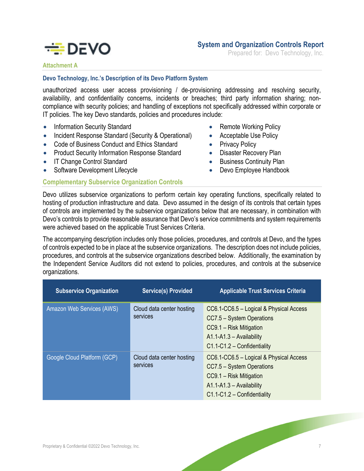

### **System and Organization Controls Report**

Prepared for: Devo Technology, Inc.

### **Attachment A**

### **Devo Technology, Inc.'s Description of its Devo Platform System**

unauthorized access user access provisioning / de-provisioning addressing and resolving security, availability, and confidentiality concerns, incidents or breaches; third party information sharing; noncompliance with security policies; and handling of exceptions not specifically addressed within corporate or IT policies. The key Devo standards, policies and procedures include:

- Information Security Standard
- Incident Response Standard (Security & Operational)
- Code of Business Conduct and Ethics Standard
- Product Security Information Response Standard
- IT Change Control Standard
- Software Development Lifecycle

### **Complementary Subservice Organization Controls**

- Remote Working Policy
- Acceptable Use Policy
- Privacy Policy
- Disaster Recovery Plan
- Business Continuity Plan
- Devo Employee Handbook

Devo utilizes subservice organizations to perform certain key operating functions, specifically related to hosting of production infrastructure and data. Devo assumed in the design of its controls that certain types of controls are implemented by the subservice organizations below that are necessary, in combination with Devo's controls to provide reasonable assurance that Devo's service commitments and system requirements were achieved based on the applicable Trust Services Criteria.

The accompanying description includes only those policies, procedures, and controls at Devo, and the types of controls expected to be in place at the subservice organizations. The description does not include policies, procedures, and controls at the subservice organizations described below. Additionally, the examination by the Independent Service Auditors did not extend to policies, procedures, and controls at the subservice organizations.

| <b>Subservice Organization</b> | <b>Service(s) Provided</b>            | <b>Applicable Trust Services Criteria</b>                                                                                                                    |
|--------------------------------|---------------------------------------|--------------------------------------------------------------------------------------------------------------------------------------------------------------|
| Amazon Web Services (AWS)      | Cloud data center hosting<br>services | CC6.1-CC6.5 - Logical & Physical Access<br>CC7.5 - System Operations<br>CC9.1 - Risk Mitigation<br>$A1.1-A1.3 - Availability$<br>C1.1-C1.2 - Confidentiality |
| Google Cloud Platform (GCP)    | Cloud data center hosting<br>services | CC6.1-CC6.5 - Logical & Physical Access<br>CC7.5 - System Operations<br>CC9.1 - Risk Mitigation<br>A1.1-A1.3 - Availability<br>$C1.1-C1.2 -$ Confidentiality |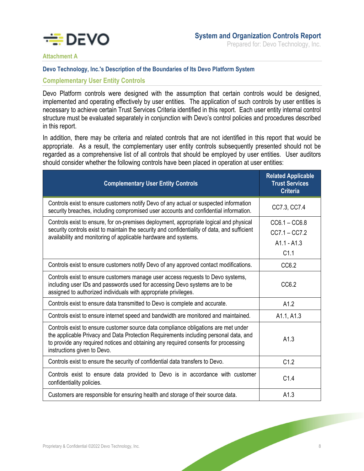

Prepared for: Devo Technology, Inc.

**Attachment A** 

### **Devo Technology, Inc.'s Description of the Boundaries of Its Devo Platform System**

### **Complementary User Entity Controls**

Devo Platform controls were designed with the assumption that certain controls would be designed, implemented and operating effectively by user entities. The application of such controls by user entities is necessary to achieve certain Trust Services Criteria identified in this report. Each user entity internal control structure must be evaluated separately in conjunction with Devo's control policies and procedures described in this report.

In addition, there may be criteria and related controls that are not identified in this report that would be appropriate. As a result, the complementary user entity controls subsequently presented should not be regarded as a comprehensive list of all controls that should be employed by user entities. User auditors should consider whether the following controls have been placed in operation at user entities:

| <b>Complementary User Entity Controls</b>                                                                                                                                                                                                                                                       | <b>Related Applicable</b><br><b>Trust Services</b><br><b>Criteria</b> |
|-------------------------------------------------------------------------------------------------------------------------------------------------------------------------------------------------------------------------------------------------------------------------------------------------|-----------------------------------------------------------------------|
| Controls exist to ensure customers notify Devo of any actual or suspected information<br>security breaches, including compromised user accounts and confidential information.                                                                                                                   | CC7.3, CC7.4                                                          |
| Controls exist to ensure, for on-premises deployment, appropriate logical and physical<br>security controls exist to maintain the security and confidentiality of data, and sufficient<br>availability and monitoring of applicable hardware and systems.                                       | $CC6.1 - CC6.8$<br>$CC7.1 - CC7.2$<br>$A1.1 - A1.3$<br>C1.1           |
| Controls exist to ensure customers notify Devo of any approved contact modifications.                                                                                                                                                                                                           | CC6.2                                                                 |
| Controls exist to ensure customers manage user access requests to Devo systems,<br>including user IDs and passwords used for accessing Devo systems are to be<br>assigned to authorized individuals with appropriate privileges.                                                                | CC6.2                                                                 |
| Controls exist to ensure data transmitted to Devo is complete and accurate.                                                                                                                                                                                                                     | A1.2                                                                  |
| Controls exist to ensure internet speed and bandwidth are monitored and maintained.                                                                                                                                                                                                             | A1.1, A1.3                                                            |
| Controls exist to ensure customer source data compliance obligations are met under<br>the applicable Privacy and Data Protection Requirements including personal data, and<br>to provide any required notices and obtaining any required consents for processing<br>instructions given to Devo. | A1.3                                                                  |
| Controls exist to ensure the security of confidential data transfers to Devo.                                                                                                                                                                                                                   | C1.2                                                                  |
| Controls exist to ensure data provided to Devo is in accordance with customer<br>confidentiality policies.                                                                                                                                                                                      | C1.4                                                                  |
| Customers are responsible for ensuring health and storage of their source data.                                                                                                                                                                                                                 | A1.3                                                                  |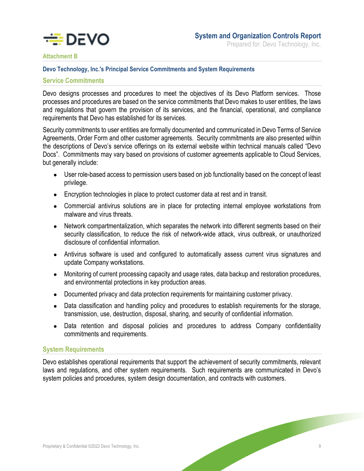

### **Attachment B**

### **Devo Technology, Inc.'s Principal Service Commitments and System Requirements**

### **Service Commitments**

Devo designs processes and procedures to meet the objectives of its Devo Platform services. Those processes and procedures are based on the service commitments that Devo makes to user entities, the laws and regulations that govern the provision of its services, and the financial, operational, and compliance requirements that Devo has established for its services.

Security commitments to user entities are formally documented and communicated in Devo Terms of Service Agreements, Order Form and other customer agreements. Security commitments are also presented within the descriptions of Devo's service offerings on its external website within technical manuals called "Devo Docs". Commitments may vary based on provisions of customer agreements applicable to Cloud Services, but generally include:

- User role-based access to permission users based on job functionality based on the concept of least privilege.
- Encryption technologies in place to protect customer data at rest and in transit.
- Commercial antivirus solutions are in place for protecting internal employee workstations from malware and virus threats.
- Network compartmentalization, which separates the network into different segments based on their security classification, to reduce the risk of network-wide attack, virus outbreak, or unauthorized disclosure of confidential information.
- Antivirus software is used and configured to automatically assess current virus signatures and update Company workstations.
- Monitoring of current processing capacity and usage rates, data backup and restoration procedures, and environmental protections in key production areas.
- Documented privacy and data protection requirements for maintaining customer privacy.
- Data classification and handling policy and procedures to establish requirements for the storage, transmission, use, destruction, disposal, sharing, and security of confidential information.
- Data retention and disposal policies and procedures to address Company confidentiality commitments and requirements.

### **System Requirements**

Devo establishes operational requirements that support the achievement of security commitments, relevant laws and regulations, and other system requirements. Such requirements are communicated in Devo's system policies and procedures, system design documentation, and contracts with customers.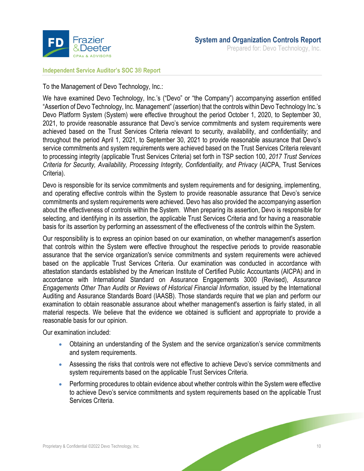

**Independent Service Auditor's SOC 3® Report** 

To the Management of Devo Technology, Inc.:

We have examined Devo Technology, Inc.'s ("Devo" or "the Company") accompanying assertion entitled "Assertion of Devo Technology, Inc. Management" (assertion) that the controls within Devo Technology Inc.'s Devo Platform System (System) were effective throughout the period October 1, 2020, to September 30, 2021, to provide reasonable assurance that Devo's service commitments and system requirements were achieved based on the Trust Services Criteria relevant to security, availability, and confidentiality; and throughout the period April 1, 2021, to September 30, 2021 to provide reasonable assurance that Devo's service commitments and system requirements were achieved based on the Trust Services Criteria relevant to processing integrity (applicable Trust Services Criteria) set forth in TSP section 100, *2017 Trust Services Criteria for Security, Availability, Processing Integrity, Confidentiality, and Privacy* (AICPA, Trust Services Criteria).

Devo is responsible for its service commitments and system requirements and for designing, implementing, and operating effective controls within the System to provide reasonable assurance that Devo's service commitments and system requirements were achieved. Devo has also provided the accompanying assertion about the effectiveness of controls within the System. When preparing its assertion, Devo is responsible for selecting, and identifying in its assertion, the applicable Trust Services Criteria and for having a reasonable basis for its assertion by performing an assessment of the effectiveness of the controls within the System.

Our responsibility is to express an opinion based on our examination, on whether management's assertion that controls within the System were effective throughout the respective periods to provide reasonable assurance that the service organization's service commitments and system requirements were achieved based on the applicable Trust Services Criteria. Our examination was conducted in accordance with attestation standards established by the American Institute of Certified Public Accountants (AICPA) and in accordance with International Standard on Assurance Engagements 3000 (Revised), *Assurance Engagements Other Than Audits or Reviews of Historical Financial Information*, issued by the International Auditing and Assurance Standards Board (IAASB). Those standards require that we plan and perform our examination to obtain reasonable assurance about whether management's assertion is fairly stated, in all material respects. We believe that the evidence we obtained is sufficient and appropriate to provide a reasonable basis for our opinion.

Our examination included:

- Obtaining an understanding of the System and the service organization's service commitments and system requirements.
- Assessing the risks that controls were not effective to achieve Devo's service commitments and system requirements based on the applicable Trust Services Criteria.
- Performing procedures to obtain evidence about whether controls within the System were effective to achieve Devo's service commitments and system requirements based on the applicable Trust Services Criteria.